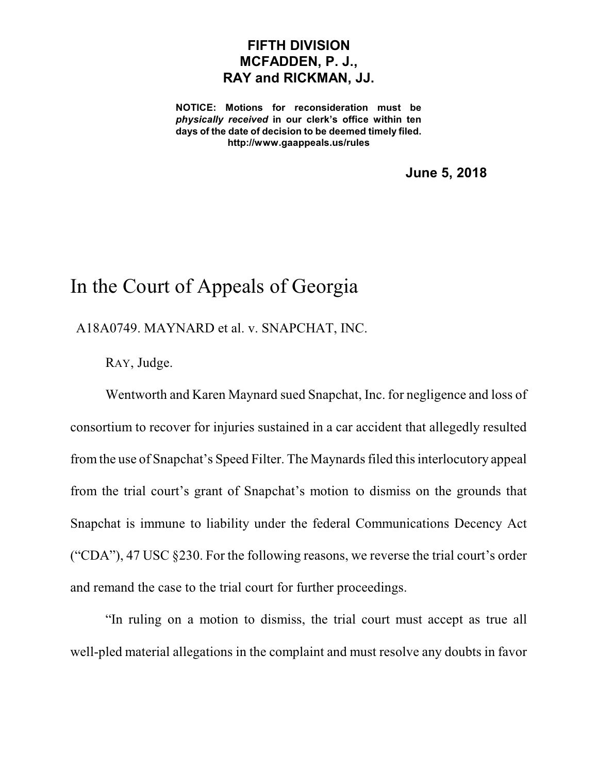## **FIFTH DIVISION MCFADDEN, P. J., RAY and RICKMAN, JJ.**

**NOTICE: Motions for reconsideration must be** *physically received* **in our clerk's office within ten days of the date of decision to be deemed timely filed. http://www.gaappeals.us/rules**

**June 5, 2018**

## In the Court of Appeals of Georgia

A18A0749. MAYNARD et al. v. SNAPCHAT, INC.

RAY, Judge.

Wentworth and Karen Maynard sued Snapchat, Inc. for negligence and loss of consortium to recover for injuries sustained in a car accident that allegedly resulted from the use of Snapchat's Speed Filter. The Maynards filed this interlocutory appeal from the trial court's grant of Snapchat's motion to dismiss on the grounds that Snapchat is immune to liability under the federal Communications Decency Act ("CDA"), 47 USC §230. For the following reasons, we reverse the trial court's order and remand the case to the trial court for further proceedings.

"In ruling on a motion to dismiss, the trial court must accept as true all well-pled material allegations in the complaint and must resolve any doubts in favor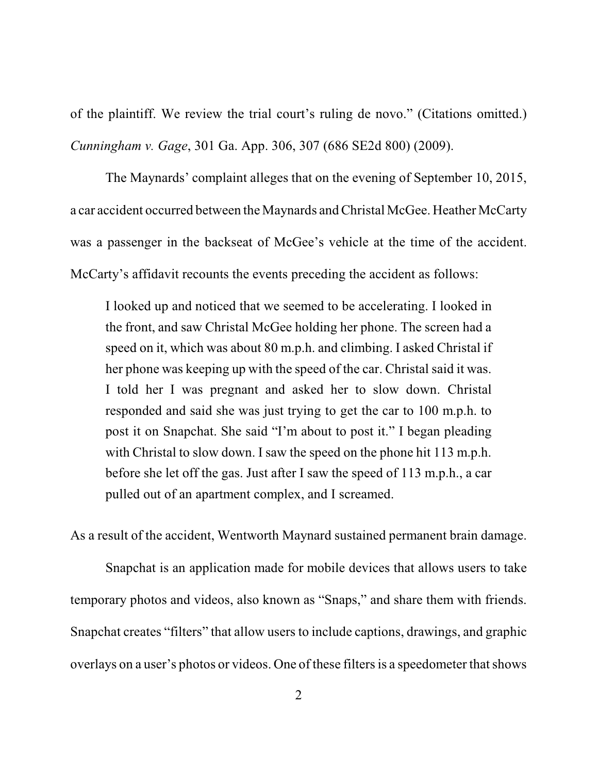of the plaintiff. We review the trial court's ruling de novo." (Citations omitted.) *Cunningham v. Gage*, 301 Ga. App. 306, 307 (686 SE2d 800) (2009).

The Maynards' complaint alleges that on the evening of September 10, 2015, a car accident occurred between the Maynards andChristal McGee. Heather McCarty was a passenger in the backseat of McGee's vehicle at the time of the accident. McCarty's affidavit recounts the events preceding the accident as follows:

I looked up and noticed that we seemed to be accelerating. I looked in the front, and saw Christal McGee holding her phone. The screen had a speed on it, which was about 80 m.p.h. and climbing. I asked Christal if her phone was keeping up with the speed of the car. Christal said it was. I told her I was pregnant and asked her to slow down. Christal responded and said she was just trying to get the car to 100 m.p.h. to post it on Snapchat. She said "I'm about to post it." I began pleading with Christal to slow down. I saw the speed on the phone hit 113 m.p.h. before she let off the gas. Just after I saw the speed of 113 m.p.h., a car pulled out of an apartment complex, and I screamed.

As a result of the accident, Wentworth Maynard sustained permanent brain damage.

Snapchat is an application made for mobile devices that allows users to take temporary photos and videos, also known as "Snaps," and share them with friends. Snapchat creates "filters" that allow users to include captions, drawings, and graphic overlays on a user's photos or videos. One of these filters is a speedometer that shows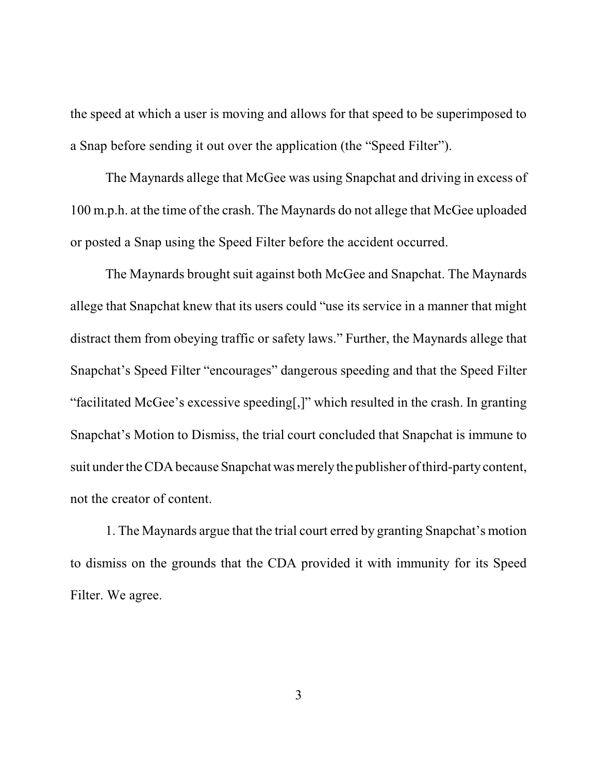the speed at which a user is moving and allows for that speed to be superimposed to a Snap before sending it out over the application (the "Speed Filter").

The Maynards allege that McGee was using Snapchat and driving in excess of 100 m.p.h. at the time of the crash. The Maynards do not allege that McGee uploaded or posted a Snap using the Speed Filter before the accident occurred.

The Maynards brought suit against both McGee and Snapchat. The Maynards allege that Snapchat knew that its users could "use its service in a manner that might distract them from obeying traffic or safety laws." Further, the Maynards allege that Snapchat's Speed Filter "encourages" dangerous speeding and that the Speed Filter "facilitated McGee's excessive speeding[,]" which resulted in the crash. In granting Snapchat's Motion to Dismiss, the trial court concluded that Snapchat is immune to suit under the CDA because Snapchat was merely the publisher of third-party content, not the creator of content.

1. The Maynards argue that the trial court erred by granting Snapchat's motion to dismiss on the grounds that the CDA provided it with immunity for its Speed Filter. We agree.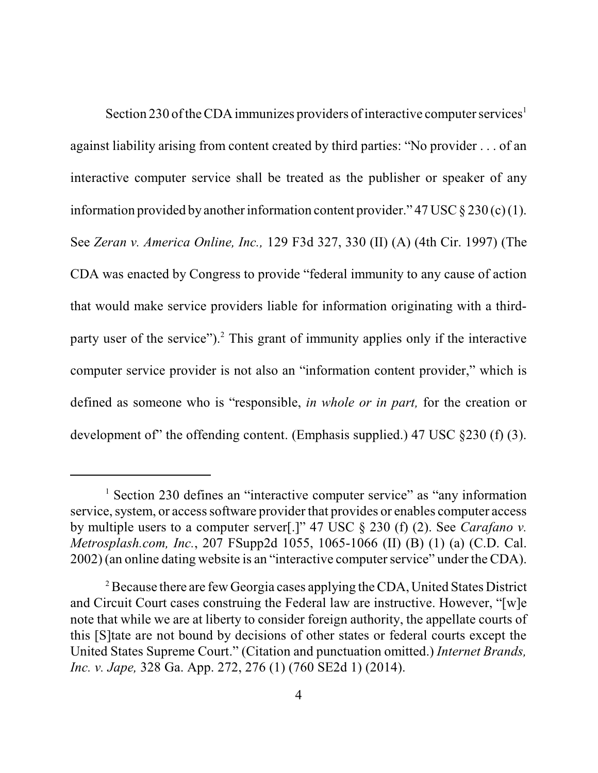Section 230 of the CDA immunizes providers of interactive computer services<sup>1</sup> against liability arising from content created by third parties: "No provider . . . of an interactive computer service shall be treated as the publisher or speaker of any information provided by another information content provider." 47 USC § 230 (c) (1). See *Zeran v. America Online, Inc.,* 129 F3d 327, 330 (II) (A) (4th Cir. 1997) (The CDA was enacted by Congress to provide "federal immunity to any cause of action that would make service providers liable for information originating with a thirdparty user of the service").<sup>2</sup> This grant of immunity applies only if the interactive computer service provider is not also an "information content provider," which is defined as someone who is "responsible, *in whole or in part,* for the creation or development of" the offending content. (Emphasis supplied.) 47 USC  $\S 230$  (f) (3).

<sup>&</sup>lt;sup>1</sup> Section 230 defines an "interactive computer service" as "any information" service, system, or access software provider that provides or enables computer access by multiple users to a computer server[.]" 47 USC § 230 (f) (2). See *Carafano v. Metrosplash.com, Inc.*, 207 FSupp2d 1055, 1065-1066 (II) (B) (1) (a) (C.D. Cal. 2002) (an online dating website is an "interactive computer service" under the CDA).

<sup>&</sup>lt;sup>2</sup> Because there are few Georgia cases applying the CDA, United States District and Circuit Court cases construing the Federal law are instructive. However, "[w]e note that while we are at liberty to consider foreign authority, the appellate courts of this [S]tate are not bound by decisions of other states or federal courts except the United States Supreme Court." (Citation and punctuation omitted.) *Internet Brands, Inc. v. Jape,* 328 Ga. App. 272, 276 (1) (760 SE2d 1) (2014).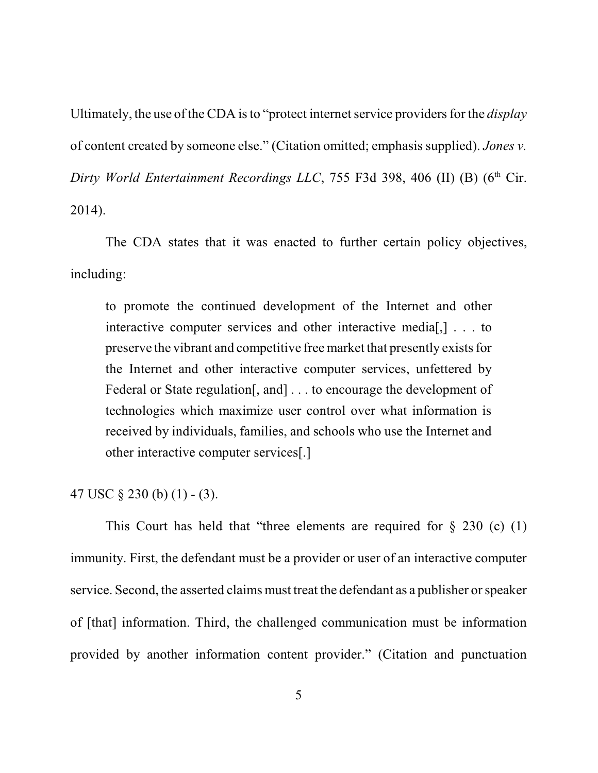Ultimately, the use of the CDA is to "protect internet service providers for the *display* of content created by someone else." (Citation omitted; emphasis supplied). *Jones v. Dirty World Entertainment Recordings LLC, 755 F3d 398, 406 (II) (B) (6<sup>th</sup> Cir.* 2014).

The CDA states that it was enacted to further certain policy objectives, including:

to promote the continued development of the Internet and other interactive computer services and other interactive media[,] . . . to preserve the vibrant and competitive free market that presently existsfor the Internet and other interactive computer services, unfettered by Federal or State regulation, and  $\ldots$  to encourage the development of technologies which maximize user control over what information is received by individuals, families, and schools who use the Internet and other interactive computer services[.]

## 47 USC  $\S 230$  (b) (1) - (3).

This Court has held that "three elements are required for  $\S$  230 (c) (1) immunity. First, the defendant must be a provider or user of an interactive computer service. Second, the asserted claims must treat the defendant as a publisher or speaker of [that] information. Third, the challenged communication must be information provided by another information content provider." (Citation and punctuation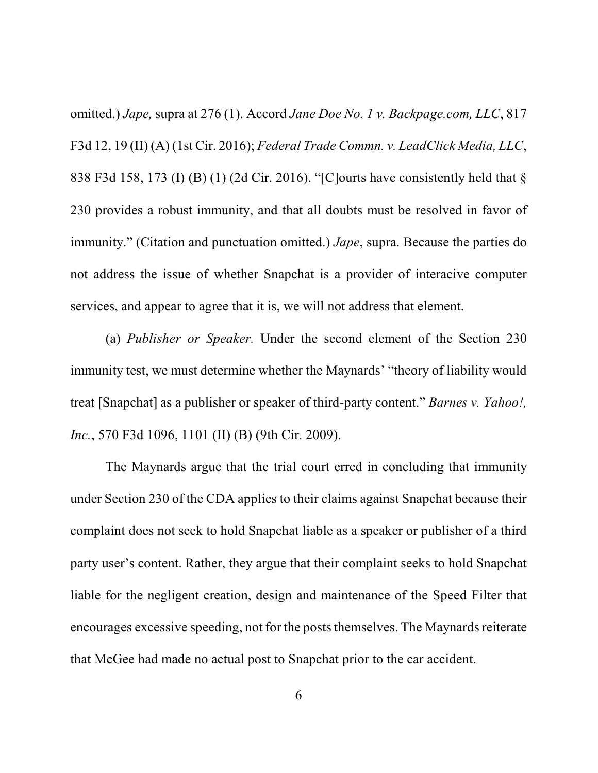omitted.) *Jape,* supra at 276 (1). Accord *Jane Doe No. 1 v. Backpage.com, LLC*, 817 F3d 12, 19 (II) (A) (1st Cir. 2016); *Federal Trade Commn. v. LeadClick Media, LLC*, 838 F3d 158, 173 (I) (B) (1) (2d Cir. 2016). "[C]ourts have consistently held that § 230 provides a robust immunity, and that all doubts must be resolved in favor of immunity." (Citation and punctuation omitted.) *Jape*, supra. Because the parties do not address the issue of whether Snapchat is a provider of interacive computer services, and appear to agree that it is, we will not address that element.

(a) *Publisher or Speaker.* Under the second element of the Section 230 immunity test, we must determine whether the Maynards' "theory of liability would treat [Snapchat] as a publisher or speaker of third-party content." *Barnes v. Yahoo!, Inc.*, 570 F3d 1096, 1101 (II) (B) (9th Cir. 2009).

The Maynards argue that the trial court erred in concluding that immunity under Section 230 of the CDA applies to their claims against Snapchat because their complaint does not seek to hold Snapchat liable as a speaker or publisher of a third party user's content. Rather, they argue that their complaint seeks to hold Snapchat liable for the negligent creation, design and maintenance of the Speed Filter that encourages excessive speeding, not for the posts themselves. The Maynards reiterate that McGee had made no actual post to Snapchat prior to the car accident.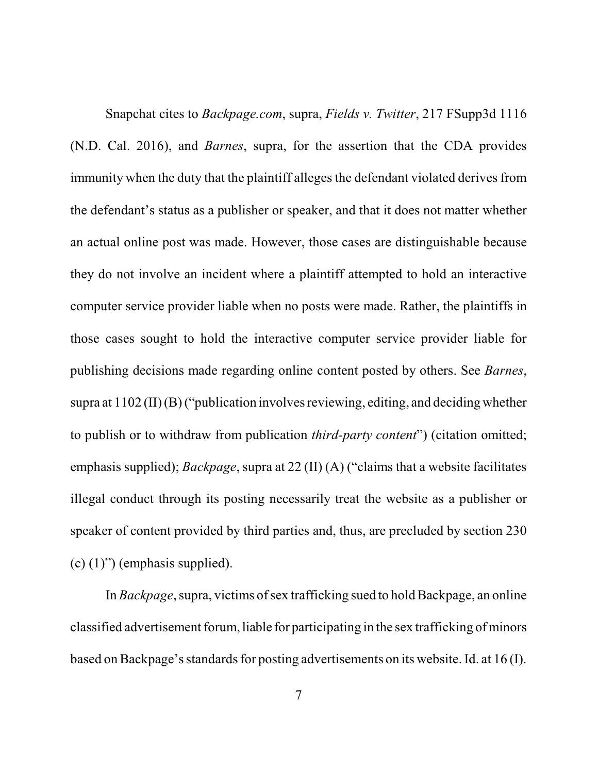Snapchat cites to *Backpage.com*, supra, *Fields v. Twitter*, 217 FSupp3d 1116 (N.D. Cal. 2016), and *Barnes*, supra, for the assertion that the CDA provides immunity when the duty that the plaintiff alleges the defendant violated derives from the defendant's status as a publisher or speaker, and that it does not matter whether an actual online post was made. However, those cases are distinguishable because they do not involve an incident where a plaintiff attempted to hold an interactive computer service provider liable when no posts were made. Rather, the plaintiffs in those cases sought to hold the interactive computer service provider liable for publishing decisions made regarding online content posted by others. See *Barnes*, supra at  $1102$  (II) (B) ("publication involves reviewing, editing, and deciding whether to publish or to withdraw from publication *third-party content*") (citation omitted; emphasis supplied); *Backpage*, supra at 22 (II) (A) ("claims that a website facilitates illegal conduct through its posting necessarily treat the website as a publisher or speaker of content provided by third parties and, thus, are precluded by section 230  $(c)$  (1)") (emphasis supplied).

In *Backpage*, supra, victims of sex trafficking sued to hold Backpage, an online classified advertisement forum, liable for participating in the sex trafficking of minors based on Backpage's standards for posting advertisements on its website. Id. at 16 (I).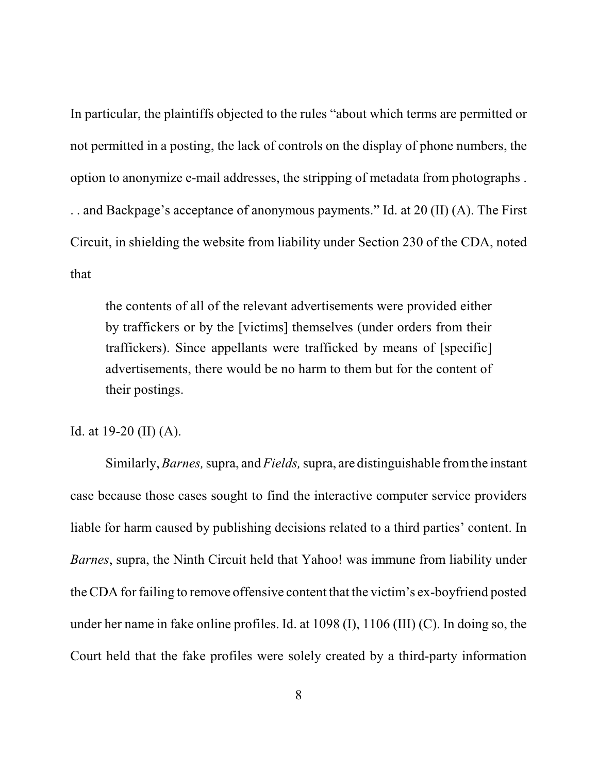In particular, the plaintiffs objected to the rules "about which terms are permitted or not permitted in a posting, the lack of controls on the display of phone numbers, the option to anonymize e-mail addresses, the stripping of metadata from photographs . . . and Backpage's acceptance of anonymous payments." Id. at 20 (II) (A). The First Circuit, in shielding the website from liability under Section 230 of the CDA, noted that

the contents of all of the relevant advertisements were provided either by traffickers or by the [victims] themselves (under orders from their traffickers). Since appellants were trafficked by means of [specific] advertisements, there would be no harm to them but for the content of their postings.

## Id. at 19-20 (II) (A).

Similarly,*Barnes,* supra, and*Fields,* supra, are distinguishable fromthe instant case because those cases sought to find the interactive computer service providers liable for harm caused by publishing decisions related to a third parties' content. In *Barnes*, supra, the Ninth Circuit held that Yahoo! was immune from liability under the CDA for failing to remove offensive content that the victim's ex-boyfriend posted under her name in fake online profiles. Id. at 1098 (I), 1106 (III) (C). In doing so, the Court held that the fake profiles were solely created by a third-party information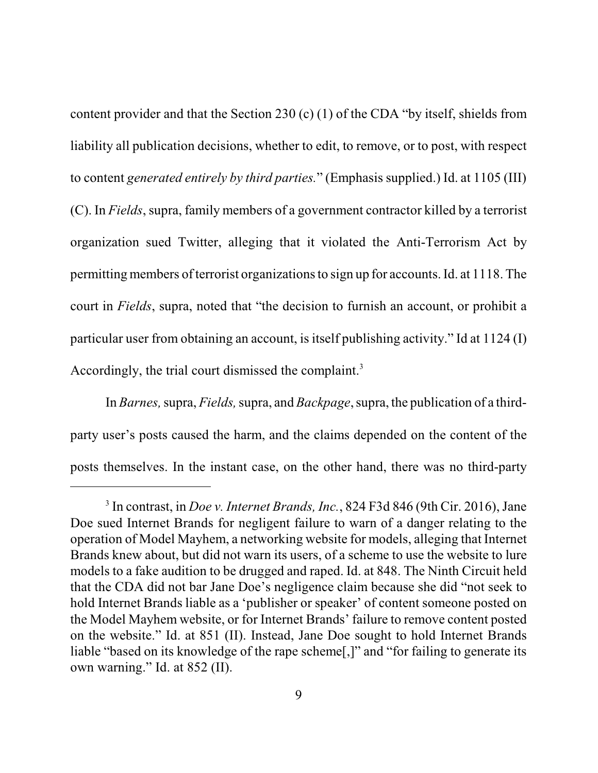content provider and that the Section 230 (c) (1) of the CDA "by itself, shields from liability all publication decisions, whether to edit, to remove, or to post, with respect to content *generated entirely by third parties.*" (Emphasis supplied.) Id. at 1105 (III) (C). In *Fields*, supra, family members of a government contractor killed by a terrorist organization sued Twitter, alleging that it violated the Anti-Terrorism Act by permitting members of terrorist organizationsto sign up for accounts. Id. at 1118. The court in *Fields*, supra, noted that "the decision to furnish an account, or prohibit a particular user from obtaining an account, is itself publishing activity." Id at 1124 (I) Accordingly, the trial court dismissed the complaint. 3

In *Barnes*, supra, *Fields*, supra, and *Backpage*, supra, the publication of a thirdparty user's posts caused the harm, and the claims depended on the content of the posts themselves. In the instant case, on the other hand, there was no third-party

<sup>3</sup> In contrast, in *Doe v. Internet Brands, Inc.*, 824 F3d 846 (9th Cir. 2016), Jane Doe sued Internet Brands for negligent failure to warn of a danger relating to the operation of Model Mayhem, a networking website for models, alleging that Internet Brands knew about, but did not warn its users, of a scheme to use the website to lure models to a fake audition to be drugged and raped. Id. at 848. The Ninth Circuit held that the CDA did not bar Jane Doe's negligence claim because she did "not seek to hold Internet Brands liable as a 'publisher or speaker' of content someone posted on the Model Mayhem website, or for Internet Brands' failure to remove content posted on the website." Id. at 851 (II). Instead, Jane Doe sought to hold Internet Brands liable "based on its knowledge of the rape scheme[,]" and "for failing to generate its own warning." Id. at 852 (II).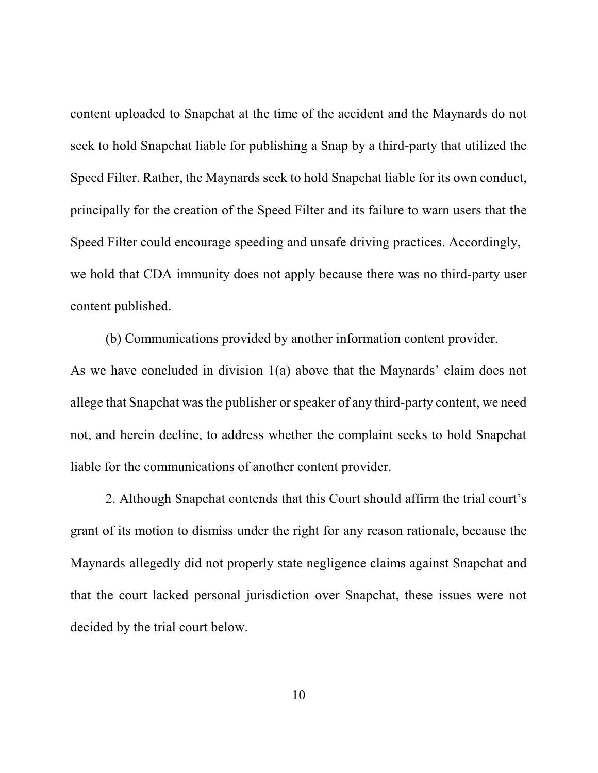content uploaded to Snapchat at the time of the accident and the Maynards do not seek to hold Snapchat liable for publishing a Snap by a third-party that utilized the Speed Filter. Rather, the Maynards seek to hold Snapchat liable for its own conduct, principally for the creation of the Speed Filter and its failure to warn users that the Speed Filter could encourage speeding and unsafe driving practices. Accordingly, we hold that CDA immunity does not apply because there was no third-party user content published.

(b) Communications provided by another information content provider. As we have concluded in division 1(a) above that the Maynards' claim does not allege that Snapchat was the publisher or speaker of any third-party content, we need not, and herein decline, to address whether the complaint seeks to hold Snapchat liable for the communications of another content provider.

2. Although Snapchat contends that this Court should affirm the trial court's grant of its motion to dismiss under the right for any reason rationale, because the Maynards allegedly did not properly state negligence claims against Snapchat and that the court lacked personal jurisdiction over Snapchat, these issues were not decided by the trial court below.